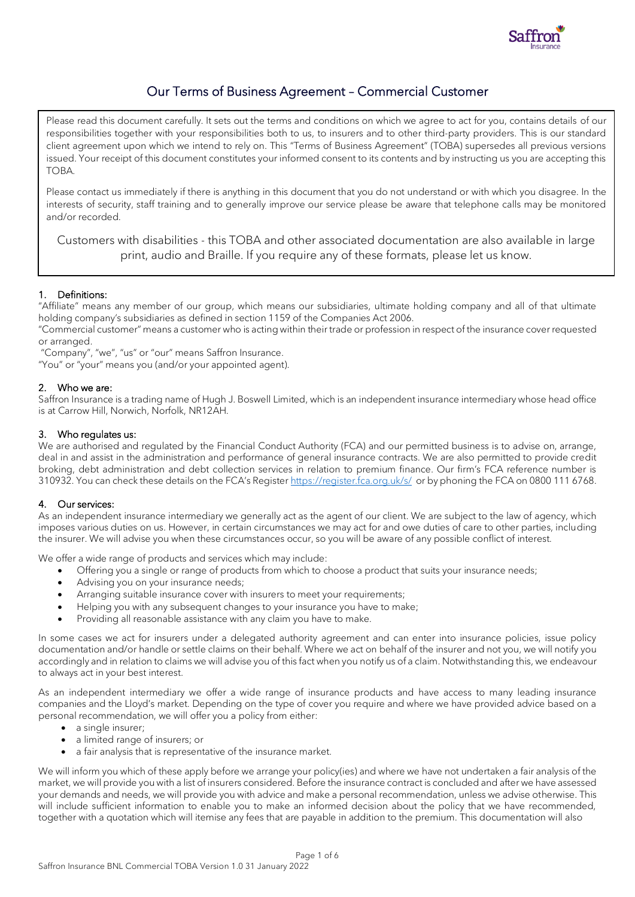

# Our Terms of Business Agreement – Commercial Customer

Please read this document carefully. It sets out the terms and conditions on which we agree to act for you, contains details of our responsibilities together with your responsibilities both to us, to insurers and to other third-party providers. This is our standard client agreement upon which we intend to rely on. This "Terms of Business Agreement" (TOBA) supersedes all previous versions issued. Your receipt of this document constitutes your informed consent to its contents and by instructing us you are accepting this TOBA.

Please contact us immediately if there is anything in this document that you do not understand or with which you disagree. In the interests of security, staff training and to generally improve our service please be aware that telephone calls may be monitored and/or recorded.

Customers with disabilities - this TOBA and other associated documentation are also available in large print, audio and Braille. If you require any of these formats, please let us know.

# 1. Definitions:

"Affiliate" means any member of our group, which means our subsidiaries, ultimate holding company and all of that ultimate holding company's subsidiaries as defined in section 1159 of the Companies Act 2006.

"Commercial customer" means a customer who is acting within their trade or profession in respect of the insurance cover requested or arranged.

"Company", "we", "us" or "our" means Saffron Insurance.

"You" or "your" means you (and/or your appointed agent).

# 2. Who we are:

Saffron Insurance is a trading name of Hugh J. Boswell Limited, which is an independent insurance intermediary whose head office is at Carrow Hill, Norwich, Norfolk, NR12AH.

# 3. Who regulates us:

We are authorised and regulated by the Financial Conduct Authority (FCA) and our permitted business is to advise on, arrange, deal in and assist in the administration and performance of general insurance contracts. We are also permitted to provide credit broking, debt administration and debt collection services in relation to premium finance. Our firm's FCA reference number is 310932. You can check these details on the FCA's Register <https://register.fca.org.uk/s/>or by phoning the FCA on 0800 111 6768.

# 4. Our services:

As an independent insurance intermediary we generally act as the agent of our client. We are subject to the law of agency, which imposes various duties on us. However, in certain circumstances we may act for and owe duties of care to other parties, including the insurer. We will advise you when these circumstances occur, so you will be aware of any possible conflict of interest.

We offer a wide range of products and services which may include:

- Offering you a single or range of products from which to choose a product that suits your insurance needs;
- Advising you on your insurance needs;
- Arranging suitable insurance cover with insurers to meet your requirements;
- Helping you with any subsequent changes to your insurance you have to make;
- Providing all reasonable assistance with any claim you have to make.

In some cases we act for insurers under a delegated authority agreement and can enter into insurance policies, issue policy documentation and/or handle or settle claims on their behalf. Where we act on behalf of the insurer and not you, we will notify you accordingly and in relation to claims we will advise you of this fact when you notify us of a claim. Notwithstanding this, we endeavour to always act in your best interest.

As an independent intermediary we offer a wide range of insurance products and have access to many leading insurance companies and the Lloyd's market. Depending on the type of cover you require and where we have provided advice based on a personal recommendation, we will offer you a policy from either:

- a single insurer;
- a limited range of insurers; or
- a fair analysis that is representative of the insurance market.

We will inform you which of these apply before we arrange your policy(ies) and where we have not undertaken a fair analysis of the market, we will provide you with a list of insurers considered. Before the insurance contract is concluded and after we have assessed your demands and needs, we will provide you with advice and make a personal recommendation, unless we advise otherwise. This will include sufficient information to enable you to make an informed decision about the policy that we have recommended, together with a quotation which will itemise any fees that are payable in addition to the premium. This documentation will also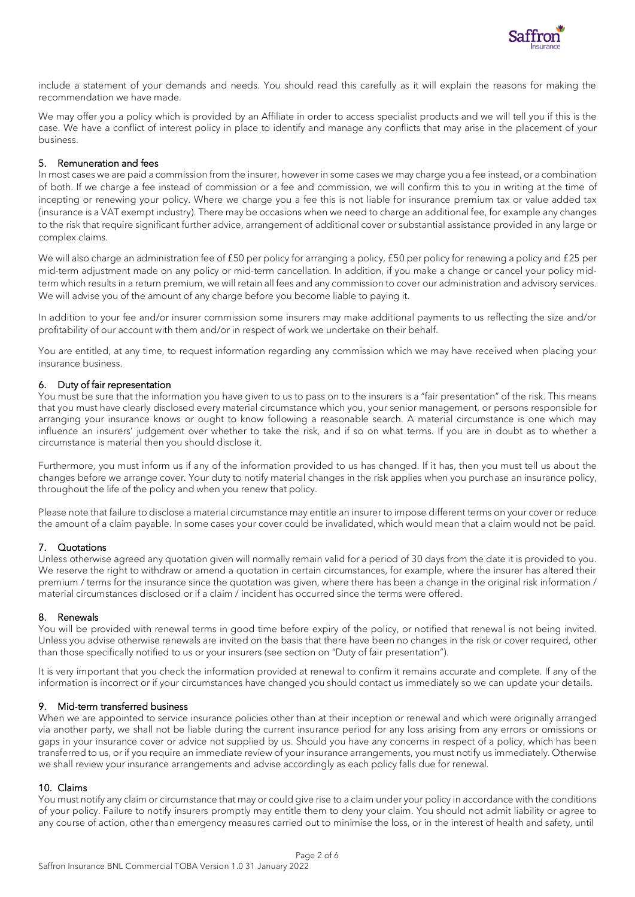

include a statement of your demands and needs. You should read this carefully as it will explain the reasons for making the recommendation we have made.

We may offer you a policy which is provided by an Affiliate in order to access specialist products and we will tell you if this is the case. We have a conflict of interest policy in place to identify and manage any conflicts that may arise in the placement of your business.

## 5. Remuneration and fees

In most cases we are paid a commission from the insurer, however in some cases we may charge you a fee instead, or a combination of both. If we charge a fee instead of commission or a fee and commission, we will confirm this to you in writing at the time of incepting or renewing your policy. Where we charge you a fee this is not liable for insurance premium tax or value added tax (insurance is a VAT exempt industry). There may be occasions when we need to charge an additional fee, for example any changes to the risk that require significant further advice, arrangement of additional cover or substantial assistance provided in any large or complex claims.

We will also charge an administration fee of £50 per policy for arranging a policy, £50 per policy for renewing a policy and £25 per mid-term adjustment made on any policy or mid-term cancellation. In addition, if you make a change or cancel your policy midterm which results in a return premium, we will retain all fees and any commission to cover our administration and advisory services. We will advise you of the amount of any charge before you become liable to paying it.

In addition to your fee and/or insurer commission some insurers may make additional payments to us reflecting the size and/or profitability of our account with them and/or in respect of work we undertake on their behalf.

You are entitled, at any time, to request information regarding any commission which we may have received when placing your insurance business.

## 6. Duty of fair representation

You must be sure that the information you have given to us to pass on to the insurers is a "fair presentation" of the risk. This means that you must have clearly disclosed every material circumstance which you, your senior management, or persons responsible for arranging your insurance knows or ought to know following a reasonable search. A material circumstance is one which may influence an insurers' judgement over whether to take the risk, and if so on what terms. If you are in doubt as to whether a circumstance is material then you should disclose it.

Furthermore, you must inform us if any of the information provided to us has changed. If it has, then you must tell us about the changes before we arrange cover. Your duty to notify material changes in the risk applies when you purchase an insurance policy, throughout the life of the policy and when you renew that policy.

Please note that failure to disclose a material circumstance may entitle an insurer to impose different terms on your cover or reduce the amount of a claim payable. In some cases your cover could be invalidated, which would mean that a claim would not be paid.

## 7. Quotations

Unless otherwise agreed any quotation given will normally remain valid for a period of 30 days from the date it is provided to you. We reserve the right to withdraw or amend a quotation in certain circumstances, for example, where the insurer has altered their premium / terms for the insurance since the quotation was given, where there has been a change in the original risk information / material circumstances disclosed or if a claim / incident has occurred since the terms were offered.

## 8. Renewals

You will be provided with renewal terms in good time before expiry of the policy, or notified that renewal is not being invited. Unless you advise otherwise renewals are invited on the basis that there have been no changes in the risk or cover required, other than those specifically notified to us or your insurers (see section on "Duty of fair presentation").

It is very important that you check the information provided at renewal to confirm it remains accurate and complete. If any of the information is incorrect or if your circumstances have changed you should contact us immediately so we can update your details.

## 9. Mid-term transferred business

When we are appointed to service insurance policies other than at their inception or renewal and which were originally arranged via another party, we shall not be liable during the current insurance period for any loss arising from any errors or omissions or gaps in your insurance cover or advice not supplied by us. Should you have any concerns in respect of a policy, which has been transferred to us, or if you require an immediate review of your insurance arrangements, you must notify us immediately. Otherwise we shall review your insurance arrangements and advise accordingly as each policy falls due for renewal.

## 10. Claims

You must notify any claim or circumstance that may or could give rise to a claim under your policy in accordance with the conditions of your policy. Failure to notify insurers promptly may entitle them to deny your claim. You should not admit liability or agree to any course of action, other than emergency measures carried out to minimise the loss, or in the interest of health and safety, until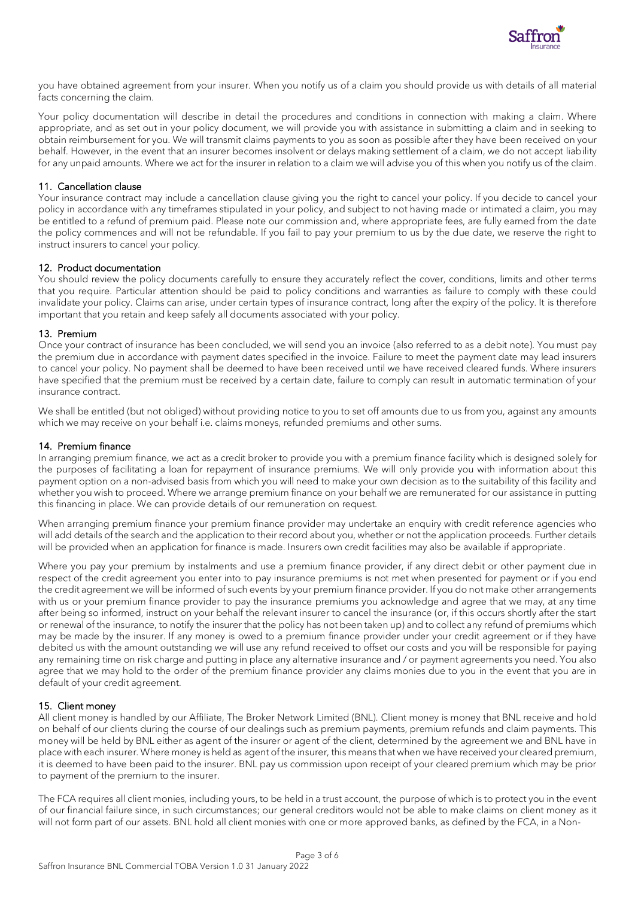

you have obtained agreement from your insurer. When you notify us of a claim you should provide us with details of all material facts concerning the claim.

Your policy documentation will describe in detail the procedures and conditions in connection with making a claim. Where appropriate, and as set out in your policy document, we will provide you with assistance in submitting a claim and in seeking to obtain reimbursement for you. We will transmit claims payments to you as soon as possible after they have been received on your behalf. However, in the event that an insurer becomes insolvent or delays making settlement of a claim, we do not accept liability for any unpaid amounts. Where we act for the insurer in relation to a claim we will advise you of this when you notify us of the claim.

#### 11. Cancellation clause

Your insurance contract may include a cancellation clause giving you the right to cancel your policy. If you decide to cancel your policy in accordance with any timeframes stipulated in your policy, and subject to not having made or intimated a claim, you may be entitled to a refund of premium paid. Please note our commission and, where appropriate fees, are fully earned from the date the policy commences and will not be refundable. If you fail to pay your premium to us by the due date, we reserve the right to instruct insurers to cancel your policy.

#### 12. Product documentation

You should review the policy documents carefully to ensure they accurately reflect the cover, conditions, limits and other terms that you require. Particular attention should be paid to policy conditions and warranties as failure to comply with these could invalidate your policy. Claims can arise, under certain types of insurance contract, long after the expiry of the policy. It is therefore important that you retain and keep safely all documents associated with your policy.

#### 13. Premium

Once your contract of insurance has been concluded, we will send you an invoice (also referred to as a debit note). You must pay the premium due in accordance with payment dates specified in the invoice. Failure to meet the payment date may lead insurers to cancel your policy. No payment shall be deemed to have been received until we have received cleared funds. Where insurers have specified that the premium must be received by a certain date, failure to comply can result in automatic termination of your insurance contract.

We shall be entitled (but not obliged) without providing notice to you to set off amounts due to us from you, against any amounts which we may receive on your behalf i.e. claims moneys, refunded premiums and other sums.

#### 14. Premium finance

In arranging premium finance, we act as a credit broker to provide you with a premium finance facility which is designed solely for the purposes of facilitating a loan for repayment of insurance premiums. We will only provide you with information about this payment option on a non-advised basis from which you will need to make your own decision as to the suitability of this facility and whether you wish to proceed. Where we arrange premium finance on your behalf we are remunerated for our assistance in putting this financing in place. We can provide details of our remuneration on request.

When arranging premium finance your premium finance provider may undertake an enquiry with credit reference agencies who will add details of the search and the application to their record about you, whether or not the application proceeds. Further details will be provided when an application for finance is made. Insurers own credit facilities may also be available if appropriate.

Where you pay your premium by instalments and use a premium finance provider, if any direct debit or other payment due in respect of the credit agreement you enter into to pay insurance premiums is not met when presented for payment or if you end the credit agreement we will be informed of such events by your premium finance provider. If you do not make other arrangements with us or your premium finance provider to pay the insurance premiums you acknowledge and agree that we may, at any time after being so informed, instruct on your behalf the relevant insurer to cancel the insurance (or, if this occurs shortly after the start or renewal of the insurance, to notify the insurer that the policy has not been taken up) and to collect any refund of premiums which may be made by the insurer. If any money is owed to a premium finance provider under your credit agreement or if they have debited us with the amount outstanding we will use any refund received to offset our costs and you will be responsible for paying any remaining time on risk charge and putting in place any alternative insurance and / or payment agreements you need. You also agree that we may hold to the order of the premium finance provider any claims monies due to you in the event that you are in default of your credit agreement.

#### 15. Client money

All client money is handled by our Affiliate, The Broker Network Limited (BNL). Client money is money that BNL receive and hold on behalf of our clients during the course of our dealings such as premium payments, premium refunds and claim payments. This money will be held by BNL either as agent of the insurer or agent of the client, determined by the agreement we and BNL have in place with each insurer. Where money is held as agent of the insurer, this means that when we have received your cleared premium, it is deemed to have been paid to the insurer. BNL pay us commission upon receipt of your cleared premium which may be prior to payment of the premium to the insurer.

The FCA requires all client monies, including yours, to be held in a trust account, the purpose of which is to protect you in the event of our financial failure since, in such circumstances; our general creditors would not be able to make claims on client money as it will not form part of our assets. BNL hold all client monies with one or more approved banks, as defined by the FCA, in a Non-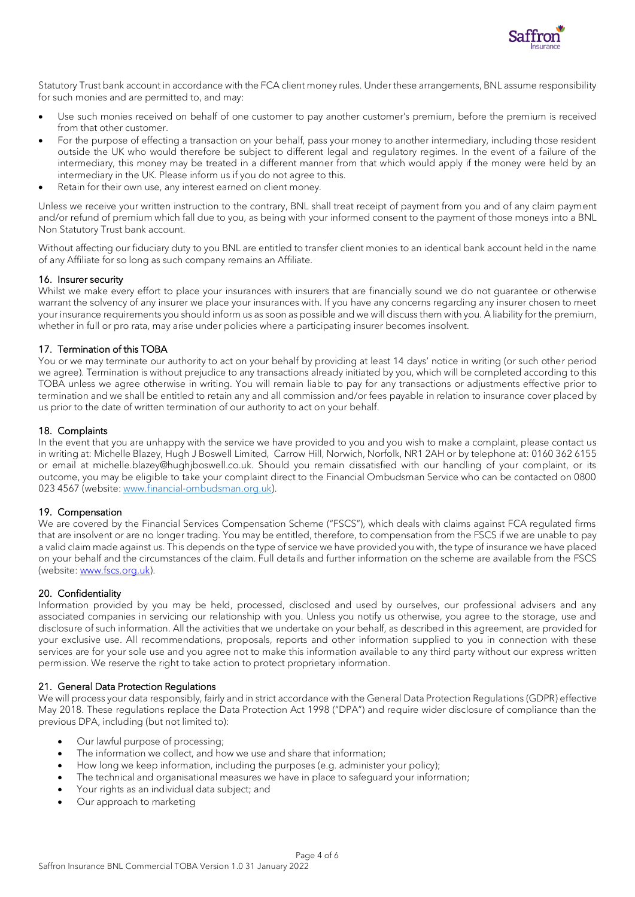

Statutory Trust bank account in accordance with the FCA client money rules. Under these arrangements, BNL assume responsibility for such monies and are permitted to, and may:

- Use such monies received on behalf of one customer to pay another customer's premium, before the premium is received from that other customer.
- For the purpose of effecting a transaction on your behalf, pass your money to another intermediary, including those resident outside the UK who would therefore be subject to different legal and regulatory regimes. In the event of a failure of the intermediary, this money may be treated in a different manner from that which would apply if the money were held by an intermediary in the UK. Please inform us if you do not agree to this.
- Retain for their own use, any interest earned on client money.

Unless we receive your written instruction to the contrary, BNL shall treat receipt of payment from you and of any claim payment and/or refund of premium which fall due to you, as being with your informed consent to the payment of those moneys into a BNL Non Statutory Trust bank account.

Without affecting our fiduciary duty to you BNL are entitled to transfer client monies to an identical bank account held in the name of any Affiliate for so long as such company remains an Affiliate.

#### 16. Insurer security

Whilst we make every effort to place your insurances with insurers that are financially sound we do not guarantee or otherwise warrant the solvency of any insurer we place your insurances with. If you have any concerns regarding any insurer chosen to meet your insurance requirements you should inform us as soon as possible and we will discuss them with you. A liability for the premium, whether in full or pro rata, may arise under policies where a participating insurer becomes insolvent.

## 17. Termination of this TOBA

You or we may terminate our authority to act on your behalf by providing at least 14 days' notice in writing (or such other period we agree). Termination is without prejudice to any transactions already initiated by you, which will be completed according to this TOBA unless we agree otherwise in writing. You will remain liable to pay for any transactions or adjustments effective prior to termination and we shall be entitled to retain any and all commission and/or fees payable in relation to insurance cover placed by us prior to the date of written termination of our authority to act on your behalf.

## 18. Complaints

In the event that you are unhappy with the service we have provided to you and you wish to make a complaint, please contact us in writing at: Michelle Blazey, Hugh J Boswell Limited, Carrow Hill, Norwich, Norfolk, NR1 2AH or by telephone at: 0160 362 6155 or email at michelle.blazey@hughjboswell.co.uk. Should you remain dissatisfied with our handling of your complaint, or its outcome, you may be eligible to take your complaint direct to the Financial Ombudsman Service who can be contacted on 0800 023 4567 (website[: www.financial-ombudsman.org.uk\)](http://www.financial-ombudsman.org.uk/).

## 19. Compensation

We are covered by the Financial Services Compensation Scheme ("FSCS"), which deals with claims against FCA regulated firms that are insolvent or are no longer trading. You may be entitled, therefore, to compensation from the FSCS if we are unable to pay a valid claim made against us. This depends on the type of service we have provided you with, the type of insurance we have placed on your behalf and the circumstances of the claim. Full details and further information on the scheme are available from the FSCS (website: [www.fscs.org.uk\)](http://www.fscs.org.uk/).

## 20. Confidentiality

Information provided by you may be held, processed, disclosed and used by ourselves, our professional advisers and any associated companies in servicing our relationship with you. Unless you notify us otherwise, you agree to the storage, use and disclosure of such information. All the activities that we undertake on your behalf, as described in this agreement, are provided for your exclusive use. All recommendations, proposals, reports and other information supplied to you in connection with these services are for your sole use and you agree not to make this information available to any third party without our express written permission. We reserve the right to take action to protect proprietary information.

## 21. General Data Protection Regulations

We will process your data responsibly, fairly and in strict accordance with the General Data Protection Regulations (GDPR) effective May 2018. These regulations replace the Data Protection Act 1998 ("DPA") and require wider disclosure of compliance than the previous DPA, including (but not limited to):

- Our lawful purpose of processing;
- The information we collect, and how we use and share that information;
- How long we keep information, including the purposes (e.g. administer your policy);
- The technical and organisational measures we have in place to safeguard your information;
- Your rights as an individual data subject; and
- Our approach to marketing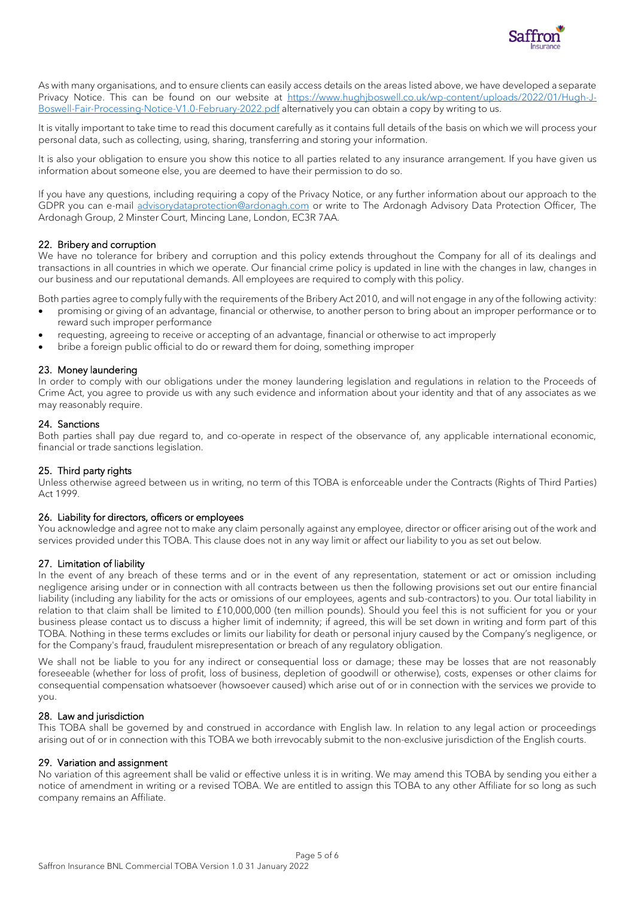

As with many organisations, and to ensure clients can easily access details on the areas listed above, we have developed a separate Privacy Notice. This can be found on our website at [https://www.hughjboswell.co.uk/wp-content/uploads/2022/01/Hugh-J-](https://www.hughjboswell.co.uk/wp-content/uploads/2022/01/Hugh-J-Boswell-Fair-Processing-Notice-V1.0-February-2022.pdf)[Boswell-Fair-Processing-Notice-V1.0-February-2022.pdf](https://www.hughjboswell.co.uk/wp-content/uploads/2022/01/Hugh-J-Boswell-Fair-Processing-Notice-V1.0-February-2022.pdf) alternatively you can obtain a copy by writing to us.

It is vitally important to take time to read this document carefully as it contains full details of the basis on which we will process your personal data, such as collecting, using, sharing, transferring and storing your information.

It is also your obligation to ensure you show this notice to all parties related to any insurance arrangement. If you have given us information about someone else, you are deemed to have their permission to do so.

If you have any questions, including requiring a copy of the Privacy Notice, or any further information about our approach to the GDPR you can e-mail [advisorydataprotection@ardonagh.com](mailto:advisorydataprotection@ardonagh.com) or write to The Ardonagh Advisory Data Protection Officer, The Ardonagh Group, 2 Minster Court, Mincing Lane, London, EC3R 7AA.

## 22. Bribery and corruption

We have no tolerance for bribery and corruption and this policy extends throughout the Company for all of its dealings and transactions in all countries in which we operate. Our financial crime policy is updated in line with the changes in law, changes in our business and our reputational demands. All employees are required to comply with this policy.

Both parties agree to comply fully with the requirements of the Bribery Act 2010, and will not engage in any of the following activity:

- promising or giving of an advantage, financial or otherwise, to another person to bring about an improper performance or to reward such improper performance
- requesting, agreeing to receive or accepting of an advantage, financial or otherwise to act improperly
- bribe a foreign public official to do or reward them for doing, something improper

## 23. Money laundering

In order to comply with our obligations under the money laundering legislation and regulations in relation to the Proceeds of Crime Act, you agree to provide us with any such evidence and information about your identity and that of any associates as we may reasonably require.

## 24. Sanctions

Both parties shall pay due regard to, and co-operate in respect of the observance of, any applicable international economic, financial or trade sanctions legislation.

## 25. Third party rights

Unless otherwise agreed between us in writing, no term of this TOBA is enforceable under the Contracts (Rights of Third Parties) Act 1999.

#### 26. Liability for directors, officers or employees

You acknowledge and agree not to make any claim personally against any employee, director or officer arising out of the work and services provided under this TOBA. This clause does not in any way limit or affect our liability to you as set out below.

## 27. Limitation of liability

In the event of any breach of these terms and or in the event of any representation, statement or act or omission including negligence arising under or in connection with all contracts between us then the following provisions set out our entire financial liability (including any liability for the acts or omissions of our employees, agents and sub-contractors) to you. Our total liability in relation to that claim shall be limited to £10,000,000 (ten million pounds). Should you feel this is not sufficient for you or your business please contact us to discuss a higher limit of indemnity; if agreed, this will be set down in writing and form part of this TOBA. Nothing in these terms excludes or limits our liability for death or personal injury caused by the Company's negligence, or for the Company's fraud, fraudulent misrepresentation or breach of any regulatory obligation.

We shall not be liable to you for any indirect or consequential loss or damage; these may be losses that are not reasonably foreseeable (whether for loss of profit, loss of business, depletion of goodwill or otherwise), costs, expenses or other claims for consequential compensation whatsoever (howsoever caused) which arise out of or in connection with the services we provide to you.

#### 28. Law and jurisdiction

This TOBA shall be governed by and construed in accordance with English law. In relation to any legal action or proceedings arising out of or in connection with this TOBA we both irrevocably submit to the non-exclusive jurisdiction of the English courts.

#### 29. Variation and assignment

No variation of this agreement shall be valid or effective unless it is in writing. We may amend this TOBA by sending you either a notice of amendment in writing or a revised TOBA. We are entitled to assign this TOBA to any other Affiliate for so long as such company remains an Affiliate.